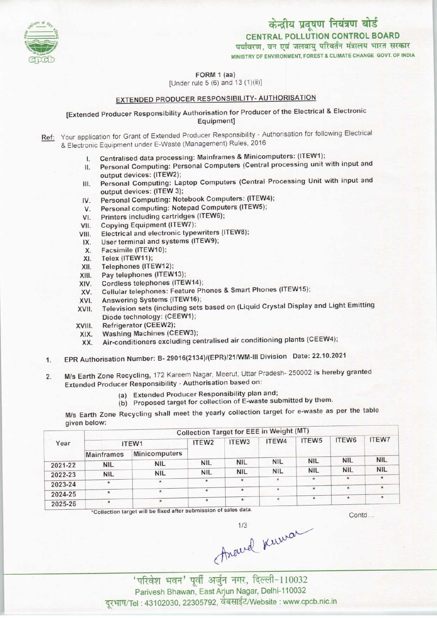

CENTRAL POLLUTION CONTROL BOARD<br>पर्यावरण, वन एवं जलवायु परिवर्तन मंत्रालय भारत सरकार

MINISTRY OF ENVIRONMENT, FOREST A CLIMATE CHANGE GOVT. OF INDIA

FORM 1 (aa)

[Under rule  $5(6)$  and  $13(1)(ii)$ ]

# EXTENDED PRODUCER RESPONSIBILITY- AUTHORISATION

[Extended Producer Responsibility Authorisation for Producer of the Electrical & Electronic Equipment]

Ref: Your application for Grant of Extended Producer Responsibility - Authorisation for following Electrical & Electronic Equipment under E-Waste (Management) Rules, 2016

- Centralised data processing: Mainframes & Minicomputers: (ITEW1);
- Personal Computing: Personal Computers (Central processing unit with input and  $\mathbf{H}$ output devices: (ITEW2);
- Personal Computing: Laptop Computers(Central Processing Unit with input and  $III.$ output devices: (ITEW 3);
- IV. Personal Computing: Notebook Computers: (ITEW4);
- V. Personal computing: Notepad Computers (ITEW5);
- VI. Printers including cartridges (ITEW6);
- VII. Copying Equipment (ITEW7);
- VIII. Electrical and electronic typewriters (ITEW8);
- User terminal and systems(ITEW9); IX.
- Facsimile (ITEW10); X.
- XI. Telex (ITEW11);
- XII. Telephones(ITEW12);
- XIII. Pay telephones (ITEW13);
- XIV. Cordless telephones (ITEW14);
- XV. Cellular telephones: Feature Phones & Smart Phones(ITEW15);
- XVI. Answering Systems (ITEW16);
- XVII. Television sets (including sets based on (Liquid Crystal Display and Light Emitting Diode technology: (CEEW1);
- XVIII. Refrigerator(CEEW2);
- XIX. Washing Machines(CEEW3);
- XX. Air-conditioners excluding centralised air conditioning plants(CEEW4);
- 1.EPR Authorisation Number: B- 29016(2134)/(EPR)/21/WM-lll Division Date: 22.10.2021
- 2. M/s Earth Zone Recycling, 172 Kareem Nagar, Meerut, Uttar Pradesh- 250002 is hereby granted Extended Producer Responsibility - Authorisation based on:
	- (a)Extended Producer Responsibility plan and;
	- (b) Proposed target for collection of E-waste submitted by them.

M/s Earth Zone Recycling shall meet the yearly collection target for e-waste as per the table given below:

|         | Collection Target for EEE in Weight (MT) |               |                   |                   |            |               |                    |              |  |  |
|---------|------------------------------------------|---------------|-------------------|-------------------|------------|---------------|--------------------|--------------|--|--|
| Year    | ITEW1                                    |               | ITEW <sub>2</sub> | ITEW <sub>3</sub> | ITEW4      | ITEW5         | ITEW6              | <b>ITEW7</b> |  |  |
|         | <b>Mainframes</b>                        | Minicomputers |                   |                   |            |               |                    |              |  |  |
| 2021-22 | <b>NIL</b>                               | <b>NIL</b>    | <b>NIL</b>        | <b>NIL</b>        | <b>NIL</b> | <b>NIL</b>    | <b>NIL</b>         | <b>NIL</b>   |  |  |
| 2022-23 | <b>NIL</b>                               | <b>NIL</b>    | <b>NIL</b>        | <b>NIL</b>        | <b>NIL</b> | <b>NIL</b>    | <b>NIL</b>         | <b>NIL</b>   |  |  |
|         |                                          | $\star$       | *                 |                   | $\star$    | $\mathcal{L}$ | $\mathbf{\bar{x}}$ |              |  |  |
| 2023-24 | $\star$                                  | ×             | $\star$           | $\star$           | $\star$    |               |                    |              |  |  |
| 2024-25 |                                          |               |                   | $\star$           |            | $\star$       |                    |              |  |  |
| 2025-26 |                                          | $\star$       | $\star$           |                   |            |               |                    |              |  |  |

\*Collection target will be fixed after submission of sales data.

Contd...

.<br>वन' पूर्वी अर्जुन नगर, दिल्ली-110032 Parivesh Bhawan, East Arjun Nagar, Delhi-110032 दरभाष/Tel: 43102030, 22305792, वेबसाईट/Website : www.cpcb.nic.in

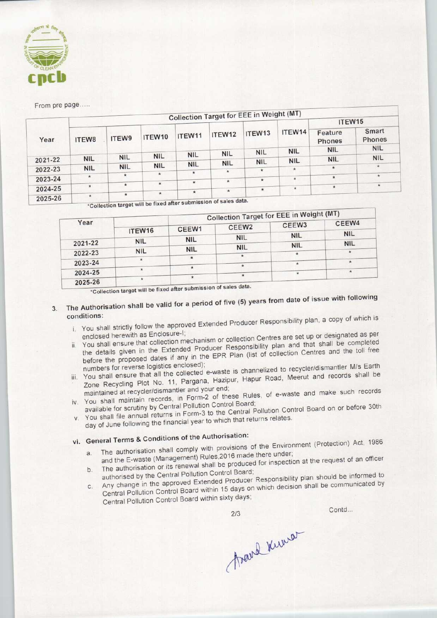

### From pre page....

|         |                    |            |            |            |                            | <b>Collection Target for EEE in Weight (MT)</b> |                      |                                 |                 |
|---------|--------------------|------------|------------|------------|----------------------------|-------------------------------------------------|----------------------|---------------------------------|-----------------|
|         |                    |            |            |            | ITEW12                     | ITEW <sub>13</sub><br><b>NIL</b>                | ITEW14<br><b>NIL</b> | ITEW15                          |                 |
| Year    | ITEW8              | ITEW9      | ITEW10     | ITEW11     |                            |                                                 |                      | Feature<br>Phones<br><b>NIL</b> | Smart<br>Phones |
|         |                    |            |            |            |                            |                                                 |                      |                                 | <b>NIL</b>      |
| 2021-22 | <b>NIL</b>         | <b>NIL</b> | <b>NIL</b> | <b>NIL</b> | <b>NIL</b>                 |                                                 |                      | <b>NIL</b>                      | <b>NIL</b>      |
|         |                    |            | <b>NIL</b> | <b>NIL</b> | <b>NIL</b>                 | <b>NIL</b>                                      |                      |                                 |                 |
| 2022-23 | <b>NIL</b>         | <b>NIL</b> | <b>NIL</b> |            | $\star$                    | $\star$                                         | $\star$              | $\star$                         | $\star$         |
|         | $\star$            | $\star$    | $\star$    | $\star$    |                            |                                                 | $\star$              | $\star$                         | $\star$         |
| 2023-24 |                    |            |            | $\star$    | $\star$                    | $\star$                                         |                      |                                 |                 |
|         | $\star$            | $\star$    | $\star$    |            |                            | $\star$                                         | $\star$              | $\star$                         | $\star$         |
| 2024-25 |                    |            | $\star$    | $\star$    | $\star$                    |                                                 |                      |                                 |                 |
| 2025-26 | $\star$<br>$\star$ |            |            |            | $\overline{\phantom{a}}$ . |                                                 |                      |                                 |                 |

\*Collection target will be fixed after submission of sales data.

|         |            |                            |            | <b>Collection Target for EEE in Weight (MT)</b> |            |
|---------|------------|----------------------------|------------|-------------------------------------------------|------------|
| Year    | ITEW16     | CEEW <sub>2</sub><br>CEEW1 |            | CEEW <sub>3</sub>                               | CEEW4      |
|         |            | <b>NIL</b>                 | <b>NIL</b> | <b>NIL</b>                                      | <b>NIL</b> |
| 2021-22 | <b>NIL</b> |                            | <b>NIL</b> | <b>NIL</b>                                      | <b>NIL</b> |
| 2022-23 | <b>NIL</b> | <b>NIL</b>                 |            |                                                 |            |
| 2023-24 |            |                            |            |                                                 |            |
| 2024-25 |            |                            |            |                                                 | $\star$    |
| 2025.26 |            |                            |            |                                                 |            |

2025-26  $*$ <br>\* Collection target will be fixed after submission of sales data

# 3. The Authorisation shall be valid for a period of five (5) years from date of issue with following

- conditions:<br>i. The approved Broducer Responsibility plan, a copy of which is if you shall shouly follow the street;<br>in that collection Centres are set up or designated as per
	- Priciosed fictomments are determined produced in the Extended Producer Responsibility plan and that shall be completed the details given in the Extended Producer Responsibility plan and that shall be completed<br>before the proposed dates if any in the EPR Plan (list of collection Centres and the toll free

numbers for reverse logistics enclosed);<br>You shall ensure that all the collected e-waste is channelized to recycler/dismantler M/s Earth<br>Zone Recycling Plot No. 11, Pargana, Hazipur, Hapur Road, Meerut and records shall be numbers for reverse logistics enclosed);<br>numbers for reverse logistics enclosed); numbers for reverse logistics encollected e-waste is channelized to recycler/disfilation was Edited<br>You shall ensure that all the collected e-waste is channelized to recycler/disfilation was Edited

- maintained at recycler/dismantler and your end; iv. You shall maintain records, in Form-2 of these Rules, of e-waste and make such records
- available for scrutiny by Central Pollution Control Board; v. You shall file in Fourth and Pollution Control Board;<br>available for scrutiny by Central Pollution Control Bollution Control Board on or before 30th You shall file annual returns in Form-3 to the School Politics relates.
- day of June following the financial year to which that returns relates.<br>vi. General Terms & Conditions of the Authorisation:

- General Terms & Conditions of the Authorisation:<br>Complete the Environment (Protection) Act, 1986 and the E-waste (Management) Rules, 2016 made there under; a. The authorisation shall comply with provisions of the Environment (Protection) Act, 1999<br>and the E-waste (Management) Rules, 2016 made there under;<br>the request of an officer
- 
- authorised by the Central Pollution Control Board; b. The authorisation or its renewal shall be produced for inspection at the request of an officer<br>authorised by the Central Pollution Control Board;<br>c. Any change in the approved Extended Producer Responsibility plan shoul Any change in the approved Extended Producer Responsibility plan should be informed to
- Central Pollution Control Board within sixty days;

Contd...

Frank Kunser